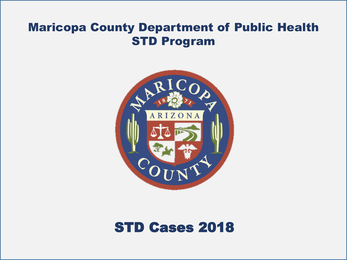#### Maricopa County Department of Public Health STD Program



# STD Cases 2018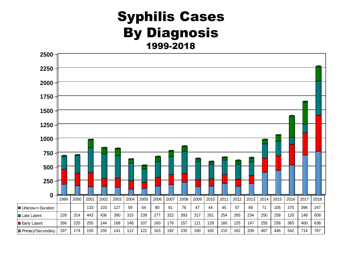## Syphilis Cases By Diagnosis 1999-2018

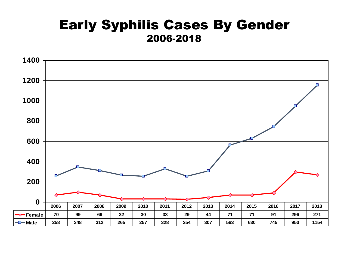## Early Syphilis Cases By Gender 2006-2018

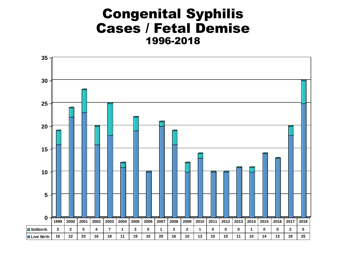## Congenital Syphilis Cases / Fetal Demise 1996-2018

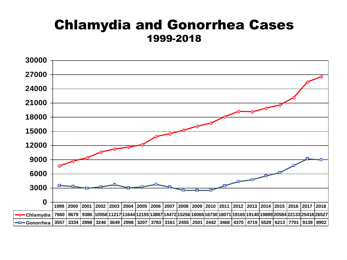## Chlamydia and Gonorrhea Cases 1999-2018

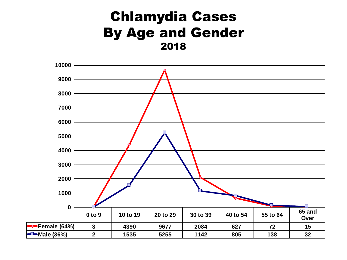# Chlamydia Cases By Age and Gender

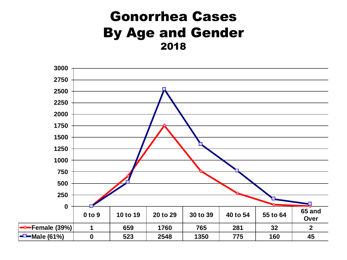# Gonorrhea Cases By Age and Gender

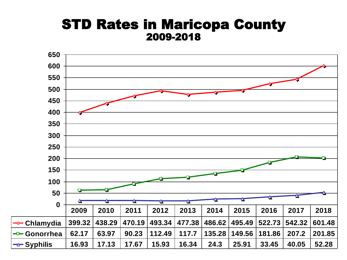#### STD Rates in Maricopa County 2009-2018